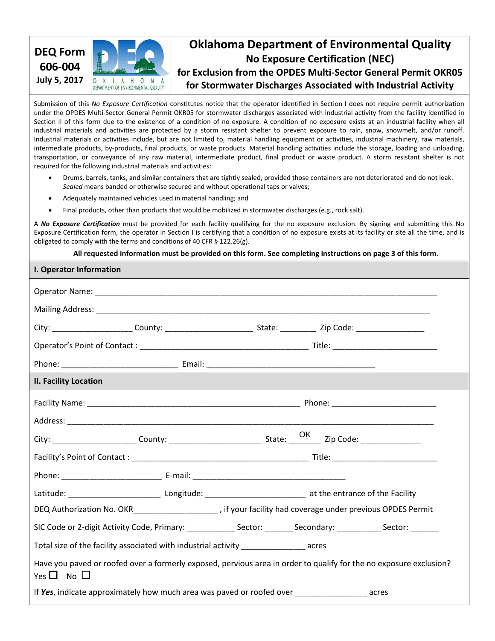

# **Oklahoma Department of Environmental Quality No Exposure Certification (NEC) for Exclusion from the OPDES Multi-Sector General Permit OKR05**

**for Stormwater Discharges Associated with Industrial Activity**

Submission of this *No Exposure Certification* constitutes notice that the operator identified in Section I does not require permit authorization under the OPDES Multi-Sector General Permit OKR05 for stormwater discharges associated with industrial activity from the facility identified in Section II of this form due to the existence of a condition of no exposure. A condition of no exposure exists at an industrial facility when all industrial materials and activities are protected by a storm resistant shelter to prevent exposure to rain, snow, snowmelt, and/or runoff. Industrial materials or activities include, but are not limited to, material handling equipment or activities, industrial machinery, raw materials, intermediate products, by-products, final products, or waste products. Material handling activities include the storage, loading and unloading, transportation, or conveyance of any raw material, intermediate product, final product or waste product. A storm resistant shelter is not required for the following industrial materials and activities:

- Drums, barrels, tanks, and similar containers that are tightly sealed, provided those containers are not deteriorated and do not leak. *Sealed* means banded or otherwise secured and without operational taps or valves;
- Adequately maintained vehicles used in material handling; and
- Final products, other than products that would be mobilized in stormwater discharges (e.g., rock salt).

A *No Exposure Certification* must be provided for each facility qualifying for the no exposure exclusion. By signing and submitting this No Exposure Certification form, the operator in Section I is certifying that a condition of no exposure exists at its facility or site all the time, and is obligated to comply with the terms and conditions of 40 CFR § 122.26(g).

**All requested information must be provided on this form. See completing instructions on page 3 of this form**.

| I. Operator Information                                                                            |                                                                                                                    |
|----------------------------------------------------------------------------------------------------|--------------------------------------------------------------------------------------------------------------------|
|                                                                                                    |                                                                                                                    |
|                                                                                                    |                                                                                                                    |
|                                                                                                    |                                                                                                                    |
|                                                                                                    |                                                                                                                    |
|                                                                                                    |                                                                                                                    |
| <b>II. Facility Location</b>                                                                       |                                                                                                                    |
|                                                                                                    |                                                                                                                    |
|                                                                                                    |                                                                                                                    |
|                                                                                                    |                                                                                                                    |
|                                                                                                    |                                                                                                                    |
|                                                                                                    |                                                                                                                    |
|                                                                                                    |                                                                                                                    |
|                                                                                                    |                                                                                                                    |
|                                                                                                    | SIC Code or 2-digit Activity Code, Primary: _______________ Sector: ________ Secondary: __________ Sector: ______  |
| Total size of the facility associated with industrial activity _______________________acres        |                                                                                                                    |
| Yes $\Box$ No $\Box$                                                                               | Have you paved or roofed over a formerly exposed, pervious area in order to qualify for the no exposure exclusion? |
| If Yes, indicate approximately how much area was paved or roofed over _______________________acres |                                                                                                                    |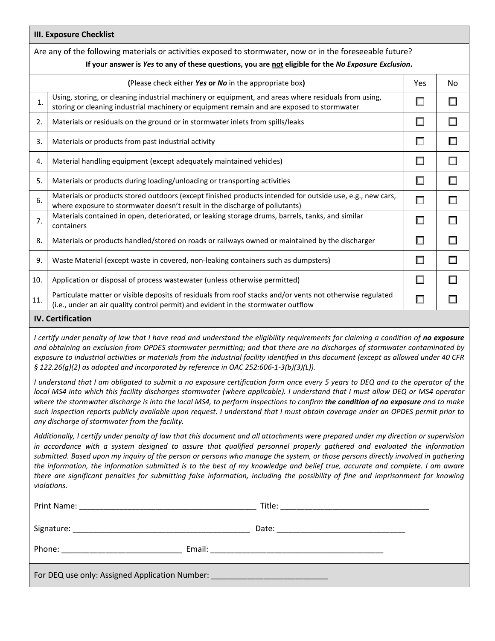| <b>III. Exposure Checklist</b> |                                                                                                                                                                                                                   |        |    |  |  |  |
|--------------------------------|-------------------------------------------------------------------------------------------------------------------------------------------------------------------------------------------------------------------|--------|----|--|--|--|
|                                | Are any of the following materials or activities exposed to stormwater, now or in the foreseeable future?<br>If your answer is Yes to any of these questions, you are not eligible for the No Exposure Exclusion. |        |    |  |  |  |
|                                | (Please check either Yes or No in the appropriate box)                                                                                                                                                            | Yes    | No |  |  |  |
| 1.                             | Using, storing, or cleaning industrial machinery or equipment, and areas where residuals from using,<br>storing or cleaning industrial machinery or equipment remain and are exposed to stormwater                |        |    |  |  |  |
| 2.                             | Materials or residuals on the ground or in stormwater inlets from spills/leaks                                                                                                                                    | $\Box$ |    |  |  |  |
| 3.                             | Materials or products from past industrial activity                                                                                                                                                               | □      |    |  |  |  |
| 4.                             | Material handling equipment (except adequately maintained vehicles)                                                                                                                                               | □      |    |  |  |  |
| 5.                             | Materials or products during loading/unloading or transporting activities                                                                                                                                         | П      | ш  |  |  |  |
| 6.                             | Materials or products stored outdoors (except finished products intended for outside use, e.g., new cars,<br>where exposure to stormwater doesn't result in the discharge of pollutants)                          | □      |    |  |  |  |
| 7.                             | Materials contained in open, deteriorated, or leaking storage drums, barrels, tanks, and similar<br>containers                                                                                                    | □      |    |  |  |  |
| 8.                             | Materials or products handled/stored on roads or railways owned or maintained by the discharger                                                                                                                   | П      | ப  |  |  |  |
| 9.                             | Waste Material (except waste in covered, non-leaking containers such as dumpsters)                                                                                                                                | □      | ш  |  |  |  |
| 10.                            | Application or disposal of process wastewater (unless otherwise permitted)                                                                                                                                        | $\Box$ | ш  |  |  |  |
| 11.                            | Particulate matter or visible deposits of residuals from roof stacks and/or vents not otherwise regulated<br>(i.e., under an air quality control permit) and evident in the stormwater outflow                    | $\Box$ |    |  |  |  |
|                                |                                                                                                                                                                                                                   |        |    |  |  |  |

#### **IV. Certification**

*I certify under penalty of law that I have read and understand the eligibility requirements for claiming a condition of no exposure and obtaining an exclusion from OPDES stormwater permitting; and that there are no discharges of stormwater contaminated by exposure to industrial activities or materials from the industrial facility identified in this document (except as allowed under 40 CFR § 122.26(g)(2) as adopted and incorporated by reference in OAC 252:606-1-3(b)(3)(L)).* 

*I understand that I am obligated to submit a no exposure certification form once every 5 years to DEQ and to the operator of the local MS4 into which this facility discharges stormwater (where applicable). I understand that I must allow DEQ or MS4 operator where the stormwater discharge is into the local MS4, to perform inspections to confirm the condition of no exposure and to make such inspection reports publicly available upon request. I understand that I must obtain coverage under an OPDES permit prior to any discharge of stormwater from the facility.* 

*Additionally, I certify under penalty of law that this document and all attachments were prepared under my direction or supervision in accordance with a system designed to assure that qualified personnel properly gathered and evaluated the information submitted. Based upon my inquiry of the person or persons who manage the system, or those persons directly involved in gathering the information, the information submitted is to the best of my knowledge and belief true, accurate and complete. I am aware there are significant penalties for submitting false information, including the possibility of fine and imprisonment for knowing violations.*

| For DEQ use only: Assigned Application Number: _________________________________ |  |  |  |  |  |  |
|----------------------------------------------------------------------------------|--|--|--|--|--|--|